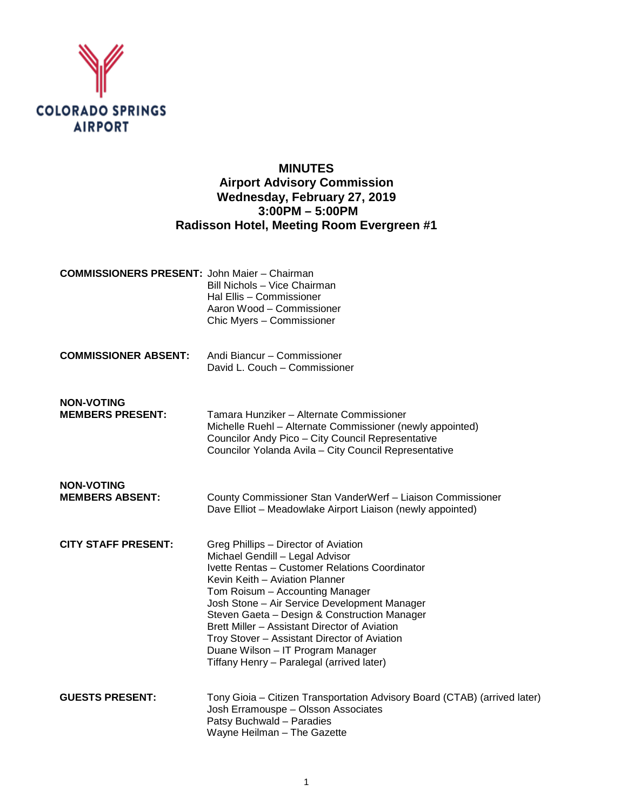

# **MINUTES Airport Advisory Commission Wednesday, February 27, 2019 3:00PM – 5:00PM Radisson Hotel, Meeting Room Evergreen #1**

| <b>COMMISSIONERS PRESENT: John Maier - Chairman</b> | Bill Nichols - Vice Chairman<br>Hal Ellis - Commissioner<br>Aaron Wood - Commissioner<br>Chic Myers - Commissioner                                                                                                                                                                                                                                                                                                                                                                |
|-----------------------------------------------------|-----------------------------------------------------------------------------------------------------------------------------------------------------------------------------------------------------------------------------------------------------------------------------------------------------------------------------------------------------------------------------------------------------------------------------------------------------------------------------------|
| <b>COMMISSIONER ABSENT:</b>                         | Andi Biancur - Commissioner<br>David L. Couch - Commissioner                                                                                                                                                                                                                                                                                                                                                                                                                      |
| <b>NON-VOTING</b><br><b>MEMBERS PRESENT:</b>        | Tamara Hunziker - Alternate Commissioner<br>Michelle Ruehl - Alternate Commissioner (newly appointed)<br>Councilor Andy Pico - City Council Representative<br>Councilor Yolanda Avila - City Council Representative                                                                                                                                                                                                                                                               |
| <b>NON-VOTING</b><br><b>MEMBERS ABSENT:</b>         | County Commissioner Stan VanderWerf - Liaison Commissioner<br>Dave Elliot - Meadowlake Airport Liaison (newly appointed)                                                                                                                                                                                                                                                                                                                                                          |
| <b>CITY STAFF PRESENT:</b>                          | Greg Phillips - Director of Aviation<br>Michael Gendill - Legal Advisor<br>Ivette Rentas - Customer Relations Coordinator<br>Kevin Keith - Aviation Planner<br>Tom Roisum - Accounting Manager<br>Josh Stone - Air Service Development Manager<br>Steven Gaeta - Design & Construction Manager<br>Brett Miller - Assistant Director of Aviation<br>Troy Stover - Assistant Director of Aviation<br>Duane Wilson - IT Program Manager<br>Tiffany Henry - Paralegal (arrived later) |
| <b>GUESTS PRESENT:</b>                              | Tony Gioia - Citizen Transportation Advisory Board (CTAB) (arrived later)<br>Josh Erramouspe - Olsson Associates<br>Patsy Buchwald - Paradies<br>Wayne Heilman - The Gazette                                                                                                                                                                                                                                                                                                      |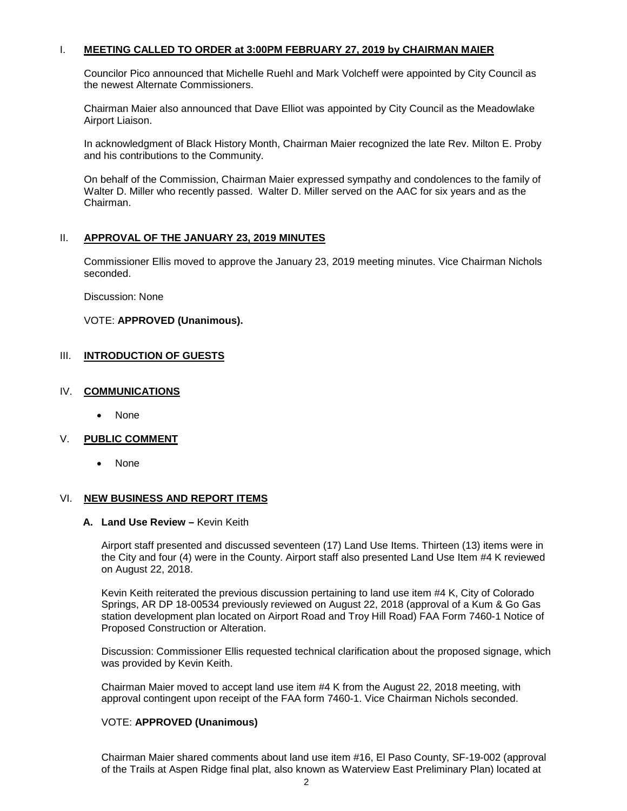#### I. **MEETING CALLED TO ORDER at 3:00PM FEBRUARY 27, 2019 by CHAIRMAN MAIER**

Councilor Pico announced that Michelle Ruehl and Mark Volcheff were appointed by City Council as the newest Alternate Commissioners.

Chairman Maier also announced that Dave Elliot was appointed by City Council as the Meadowlake Airport Liaison.

In acknowledgment of Black History Month, Chairman Maier recognized the late Rev. Milton E. Proby and his contributions to the Community.

On behalf of the Commission, Chairman Maier expressed sympathy and condolences to the family of Walter D. Miller who recently passed. Walter D. Miller served on the AAC for six years and as the Chairman.

#### II. **APPROVAL OF THE JANUARY 23, 2019 MINUTES**

Commissioner Ellis moved to approve the January 23, 2019 meeting minutes. Vice Chairman Nichols seconded.

Discussion: None

### VOTE: **APPROVED (Unanimous).**

### III. **INTRODUCTION OF GUESTS**

#### IV. **COMMUNICATIONS**

• None

### V. **PUBLIC COMMENT**

• None

#### VI. **NEW BUSINESS AND REPORT ITEMS**

#### **A. Land Use Review –** Kevin Keith

Airport staff presented and discussed seventeen (17) Land Use Items. Thirteen (13) items were in the City and four (4) were in the County. Airport staff also presented Land Use Item #4 K reviewed on August 22, 2018.

Kevin Keith reiterated the previous discussion pertaining to land use item #4 K, City of Colorado Springs, AR DP 18-00534 previously reviewed on August 22, 2018 (approval of a Kum & Go Gas station development plan located on Airport Road and Troy Hill Road) FAA Form 7460-1 Notice of Proposed Construction or Alteration.

Discussion: Commissioner Ellis requested technical clarification about the proposed signage, which was provided by Kevin Keith.

Chairman Maier moved to accept land use item #4 K from the August 22, 2018 meeting, with approval contingent upon receipt of the FAA form 7460-1. Vice Chairman Nichols seconded.

### VOTE: **APPROVED (Unanimous)**

Chairman Maier shared comments about land use item #16, El Paso County, SF-19-002 (approval of the Trails at Aspen Ridge final plat, also known as Waterview East Preliminary Plan) located at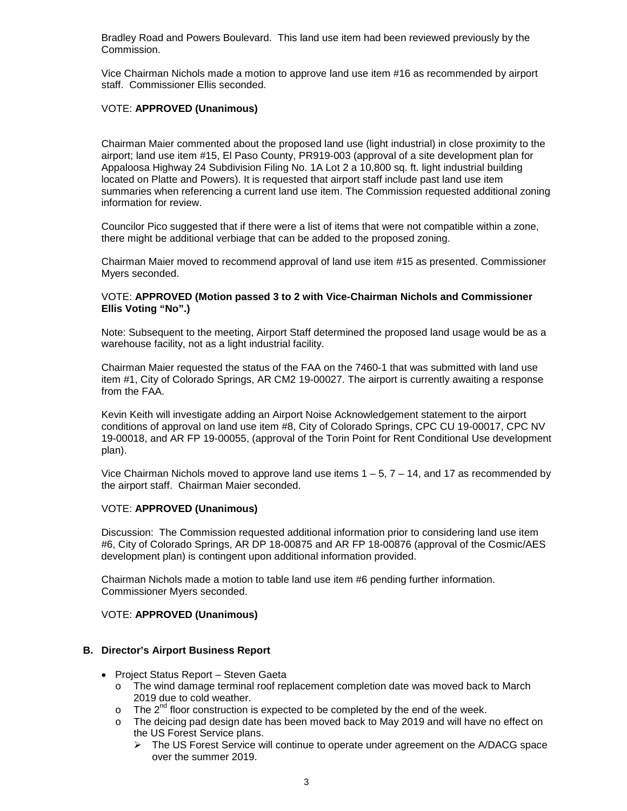Bradley Road and Powers Boulevard. This land use item had been reviewed previously by the Commission.

Vice Chairman Nichols made a motion to approve land use item #16 as recommended by airport staff. Commissioner Ellis seconded.

### VOTE: **APPROVED (Unanimous)**

Chairman Maier commented about the proposed land use (light industrial) in close proximity to the airport; land use item #15, El Paso County, PR919-003 (approval of a site development plan for Appaloosa Highway 24 Subdivision Filing No. 1A Lot 2 a 10,800 sq. ft. light industrial building located on Platte and Powers). It is requested that airport staff include past land use item summaries when referencing a current land use item. The Commission requested additional zoning information for review.

Councilor Pico suggested that if there were a list of items that were not compatible within a zone, there might be additional verbiage that can be added to the proposed zoning.

Chairman Maier moved to recommend approval of land use item #15 as presented. Commissioner Myers seconded.

### VOTE: **APPROVED (Motion passed 3 to 2 with Vice-Chairman Nichols and Commissioner Ellis Voting "No".)**

Note: Subsequent to the meeting, Airport Staff determined the proposed land usage would be as a warehouse facility, not as a light industrial facility.

Chairman Maier requested the status of the FAA on the 7460-1 that was submitted with land use item #1, City of Colorado Springs, AR CM2 19-00027. The airport is currently awaiting a response from the FAA.

Kevin Keith will investigate adding an Airport Noise Acknowledgement statement to the airport conditions of approval on land use item #8, City of Colorado Springs, CPC CU 19-00017, CPC NV 19-00018, and AR FP 19-00055, (approval of the Torin Point for Rent Conditional Use development plan).

Vice Chairman Nichols moved to approve land use items  $1 - 5$ ,  $7 - 14$ , and 17 as recommended by the airport staff. Chairman Maier seconded.

### VOTE: **APPROVED (Unanimous)**

Discussion: The Commission requested additional information prior to considering land use item #6, City of Colorado Springs, AR DP 18-00875 and AR FP 18-00876 (approval of the Cosmic/AES development plan) is contingent upon additional information provided.

Chairman Nichols made a motion to table land use item #6 pending further information. Commissioner Myers seconded.

### VOTE: **APPROVED (Unanimous)**

### **B. Director's Airport Business Report**

- Project Status Report Steven Gaeta
	- o The wind damage terminal roof replacement completion date was moved back to March 2019 due to cold weather.
	- $\circ$  The  $2^{nd}$  floor construction is expected to be completed by the end of the week.
	- The deicing pad design date has been moved back to May 2019 and will have no effect on the US Forest Service plans.
		- $\triangleright$  The US Forest Service will continue to operate under agreement on the A/DACG space over the summer 2019.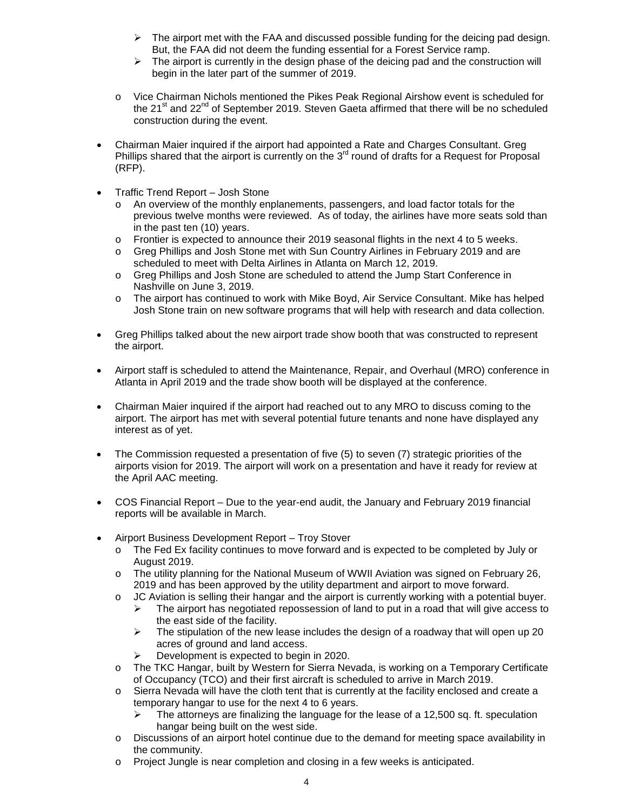- $\triangleright$  The airport met with the FAA and discussed possible funding for the deicing pad design. But, the FAA did not deem the funding essential for a Forest Service ramp.
- $\triangleright$  The airport is currently in the design phase of the deicing pad and the construction will begin in the later part of the summer of 2019.
- o Vice Chairman Nichols mentioned the Pikes Peak Regional Airshow event is scheduled for the  $21^{st}$  and  $22^{nd}$  of September 2019. Steven Gaeta affirmed that there will be no scheduled construction during the event.
- Chairman Maier inquired if the airport had appointed a Rate and Charges Consultant. Greg Phillips shared that the airport is currently on the  $3<sup>rd</sup>$  round of drafts for a Request for Proposal (RFP).
- Traffic Trend Report Josh Stone
	- o An overview of the monthly enplanements, passengers, and load factor totals for the previous twelve months were reviewed. As of today, the airlines have more seats sold than in the past ten (10) years.
	- o Frontier is expected to announce their 2019 seasonal flights in the next 4 to 5 weeks.<br>
	o Greg Phillips and Josh Stone met with Sun Country Airlines in February 2019 and are
	- Greg Phillips and Josh Stone met with Sun Country Airlines in February 2019 and are scheduled to meet with Delta Airlines in Atlanta on March 12, 2019.
	- o Greg Phillips and Josh Stone are scheduled to attend the Jump Start Conference in Nashville on June 3, 2019.
	- o The airport has continued to work with Mike Boyd, Air Service Consultant. Mike has helped Josh Stone train on new software programs that will help with research and data collection.
- Greg Phillips talked about the new airport trade show booth that was constructed to represent the airport.
- Airport staff is scheduled to attend the Maintenance, Repair, and Overhaul (MRO) conference in Atlanta in April 2019 and the trade show booth will be displayed at the conference.
- Chairman Maier inquired if the airport had reached out to any MRO to discuss coming to the airport. The airport has met with several potential future tenants and none have displayed any interest as of yet.
- The Commission requested a presentation of five (5) to seven (7) strategic priorities of the airports vision for 2019. The airport will work on a presentation and have it ready for review at the April AAC meeting.
- COS Financial Report Due to the year-end audit, the January and February 2019 financial reports will be available in March.
- Airport Business Development Report Troy Stover
	- o The Fed Ex facility continues to move forward and is expected to be completed by July or August 2019.
	- o The utility planning for the National Museum of WWII Aviation was signed on February 26, 2019 and has been approved by the utility department and airport to move forward.
	- o JC Aviation is selling their hangar and the airport is currently working with a potential buyer.<br>
	Fine airport has negotiated repossession of land to put in a road that will give access to
		- The airport has negotiated repossession of land to put in a road that will give access to the east side of the facility.
		- $\triangleright$  The stipulation of the new lease includes the design of a roadway that will open up 20 acres of ground and land access.
		- $\triangleright$  Development is expected to begin in 2020.
	- o The TKC Hangar, built by Western for Sierra Nevada, is working on a Temporary Certificate of Occupancy (TCO) and their first aircraft is scheduled to arrive in March 2019.
	- o Sierra Nevada will have the cloth tent that is currently at the facility enclosed and create a temporary hangar to use for the next 4 to 6 years.
		- $\triangleright$  The attorneys are finalizing the language for the lease of a 12,500 sq. ft. speculation hangar being built on the west side.
	- o Discussions of an airport hotel continue due to the demand for meeting space availability in the community.
	- o Project Jungle is near completion and closing in a few weeks is anticipated.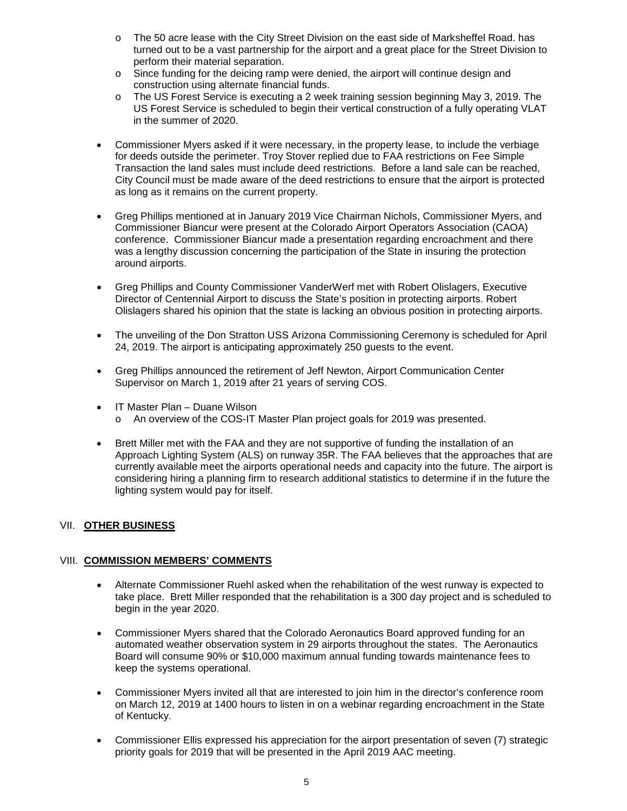- o The 50 acre lease with the City Street Division on the east side of Marksheffel Road. has turned out to be a vast partnership for the airport and a great place for the Street Division to perform their material separation.
- $\circ$  Since funding for the deicing ramp were denied, the airport will continue design and construction using alternate financial funds.
- o The US Forest Service is executing a 2 week training session beginning May 3, 2019. The US Forest Service is scheduled to begin their vertical construction of a fully operating VLAT in the summer of 2020.
- Commissioner Myers asked if it were necessary, in the property lease, to include the verbiage for deeds outside the perimeter. Troy Stover replied due to FAA restrictions on Fee Simple Transaction the land sales must include deed restrictions. Before a land sale can be reached, City Council must be made aware of the deed restrictions to ensure that the airport is protected as long as it remains on the current property.
- Greg Phillips mentioned at in January 2019 Vice Chairman Nichols, Commissioner Myers, and Commissioner Biancur were present at the Colorado Airport Operators Association (CAOA) conference. Commissioner Biancur made a presentation regarding encroachment and there was a lengthy discussion concerning the participation of the State in insuring the protection around airports.
- Greg Phillips and County Commissioner VanderWerf met with Robert Olislagers, Executive Director of Centennial Airport to discuss the State's position in protecting airports. Robert Olislagers shared his opinion that the state is lacking an obvious position in protecting airports.
- The unveiling of the Don Stratton USS Arizona Commissioning Ceremony is scheduled for April 24, 2019. The airport is anticipating approximately 250 guests to the event.
- Greg Phillips announced the retirement of Jeff Newton, Airport Communication Center Supervisor on March 1, 2019 after 21 years of serving COS.
- IT Master Plan Duane Wilson
	- o An overview of the COS-IT Master Plan project goals for 2019 was presented.
- Brett Miller met with the FAA and they are not supportive of funding the installation of an Approach Lighting System (ALS) on runway 35R. The FAA believes that the approaches that are currently available meet the airports operational needs and capacity into the future. The airport is considering hiring a planning firm to research additional statistics to determine if in the future the lighting system would pay for itself.

# VII. **OTHER BUSINESS**

# VIII. **COMMISSION MEMBERS' COMMENTS**

- Alternate Commissioner Ruehl asked when the rehabilitation of the west runway is expected to take place. Brett Miller responded that the rehabilitation is a 300 day project and is scheduled to begin in the year 2020.
- Commissioner Myers shared that the Colorado Aeronautics Board approved funding for an automated weather observation system in 29 airports throughout the states. The Aeronautics Board will consume 90% or \$10,000 maximum annual funding towards maintenance fees to keep the systems operational.
- Commissioner Myers invited all that are interested to join him in the director's conference room on March 12, 2019 at 1400 hours to listen in on a webinar regarding encroachment in the State of Kentucky.
- Commissioner Ellis expressed his appreciation for the airport presentation of seven (7) strategic priority goals for 2019 that will be presented in the April 2019 AAC meeting.